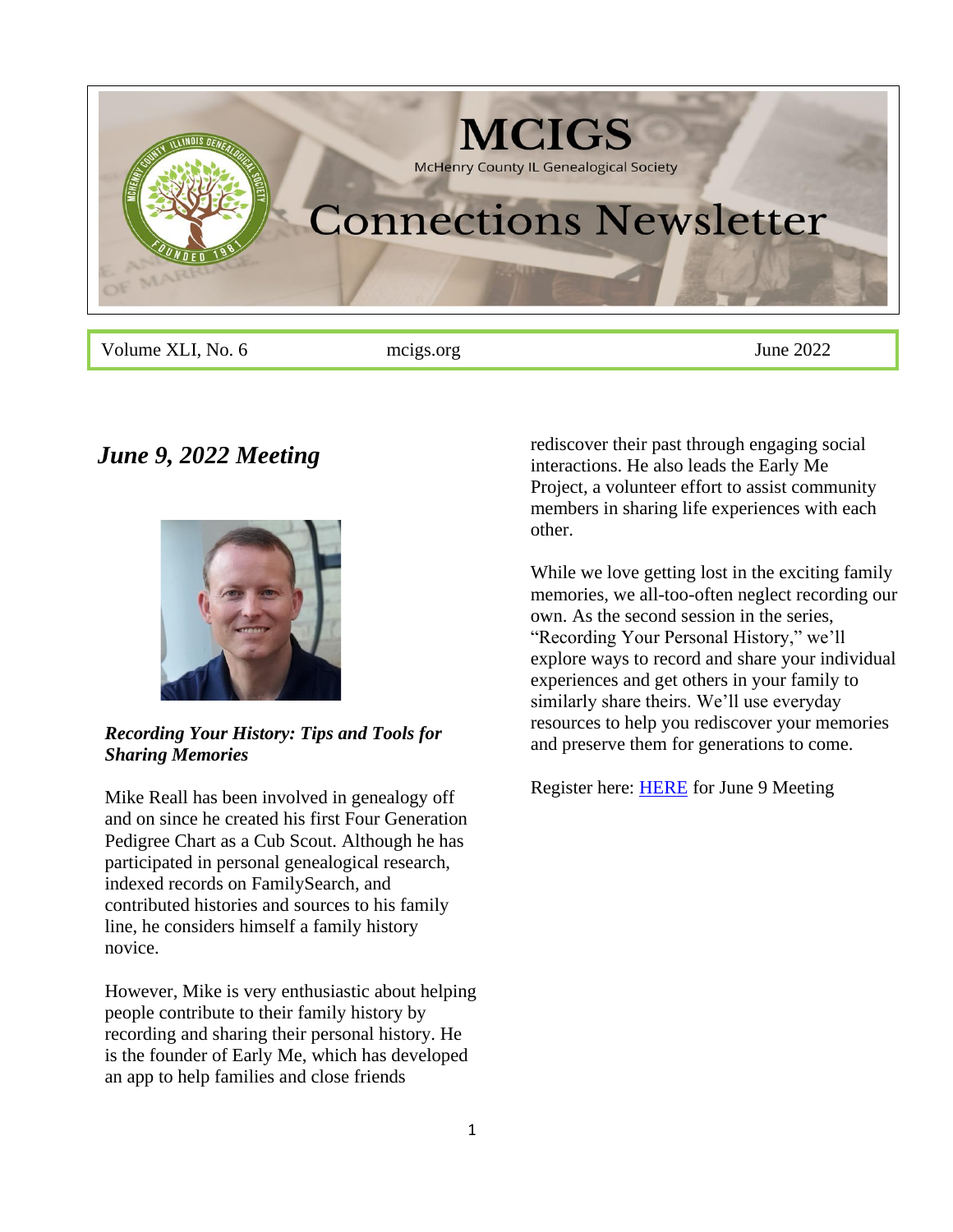

Volume XLI, No. 6 meigs.org June 2022

# *June 9, 2022 Meeting*



## *Recording Your History: Tips and Tools for Sharing Memories*

Mike Reall has been involved in genealogy off and on since he created his first Four Generation Pedigree Chart as a Cub Scout. Although he has participated in personal genealogical research, indexed records on FamilySearch, and contributed histories and sources to his family line, he considers himself a family history novice.

However, Mike is very enthusiastic about helping people contribute to their family history by recording and sharing their personal history. He is the founder of Early Me, which has developed an app to help families and close friends

rediscover their past through engaging social interactions. He also leads the Early Me Project, a volunteer effort to assist community members in sharing life experiences with each other.

While we love getting lost in the exciting family memories, we all-too-often neglect recording our own. As the second session in the series, "Recording Your Personal History," we'll explore ways to record and share your individual experiences and get others in your family to similarly share theirs. We'll use everyday resources to help you rediscover your memories and preserve them for generations to come.

Register here: [HERE](https://us06web.zoom.us/meeting/register/tZUtcuGtrDIjGtPCLEroHKUeHPxHBYIqPEiQ) for June 9 Meeting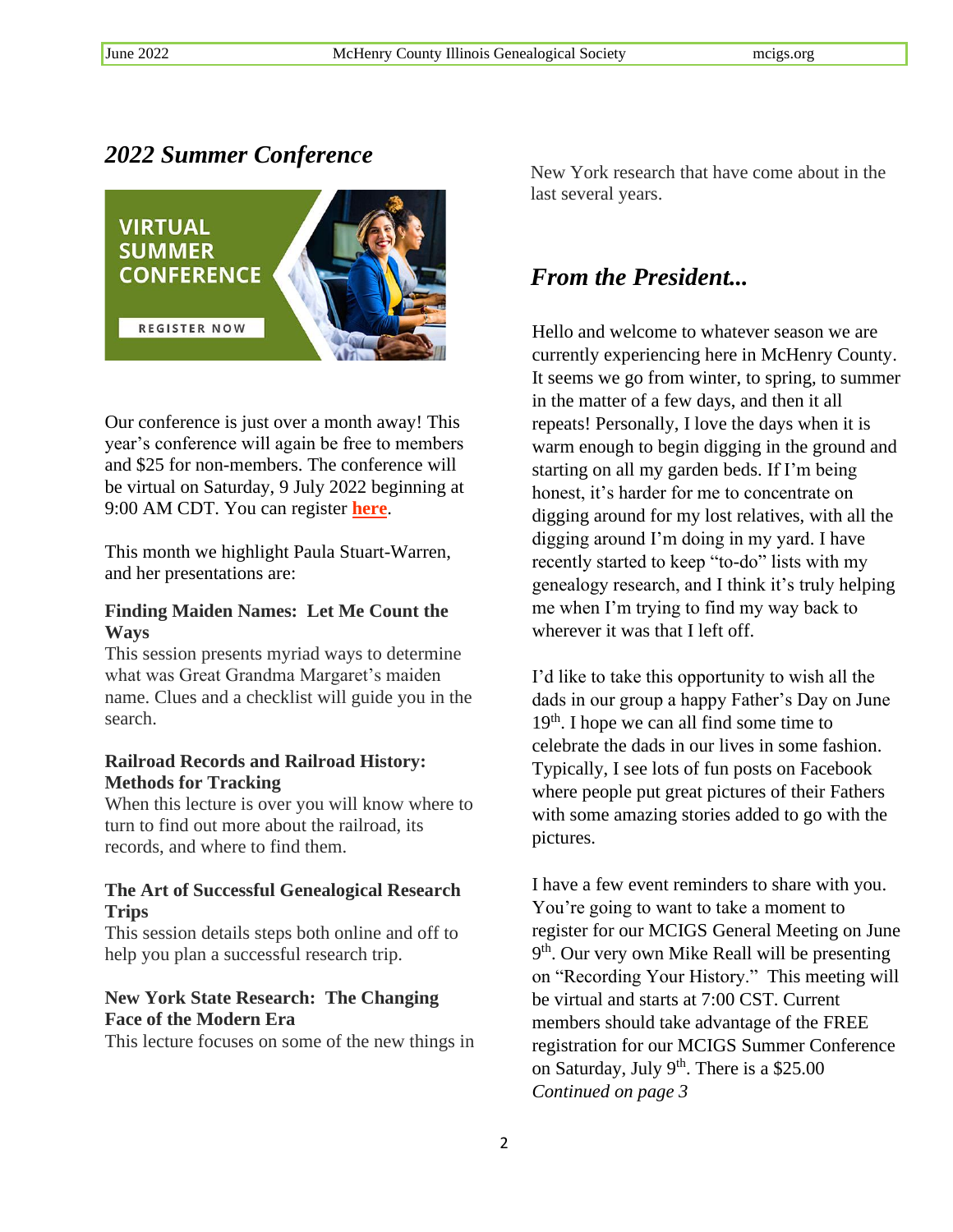# *2022 Summer Conference*



Our conference is just over a month away! This year's conference will again be free to members and \$25 for non-members. The conference will be virtual on Saturday, 9 July 2022 beginning at 9:00 AM CDT. You can register **[here](https://www.mcigs.org/conference.html)**.

This month we highlight Paula Stuart-Warren, and her presentations are:

#### **Finding Maiden Names: Let Me Count the Ways**

This session presents myriad ways to determine what was Great Grandma Margaret's maiden name. Clues and a checklist will guide you in the search.

## **Railroad Records and Railroad History: Methods for Tracking**

When this lecture is over you will know where to turn to find out more about the railroad, its records, and where to find them.

### **The Art of Successful Genealogical Research Trips**

This session details steps both online and off to help you plan a successful research trip.

## **New York State Research: The Changing Face of the Modern Era**

This lecture focuses on some of the new things in

New York research that have come about in the last several years.

# *From the President...*

Hello and welcome to whatever season we are currently experiencing here in McHenry County. It seems we go from winter, to spring, to summer in the matter of a few days, and then it all repeats! Personally, I love the days when it is warm enough to begin digging in the ground and starting on all my garden beds. If I'm being honest, it's harder for me to concentrate on digging around for my lost relatives, with all the digging around I'm doing in my yard. I have recently started to keep "to-do" lists with my genealogy research, and I think it's truly helping me when I'm trying to find my way back to wherever it was that I left off.

I'd like to take this opportunity to wish all the dads in our group a happy Father's Day on June 19<sup>th</sup>. I hope we can all find some time to celebrate the dads in our lives in some fashion. Typically, I see lots of fun posts on Facebook where people put great pictures of their Fathers with some amazing stories added to go with the pictures.

I have a few event reminders to share with you. You're going to want to take a moment to register for our MCIGS General Meeting on June 9<sup>th</sup>. Our very own Mike Reall will be presenting on "Recording Your History." This meeting will be virtual and starts at 7:00 CST. Current members should take advantage of the FREE registration for our MCIGS Summer Conference on Saturday, July 9<sup>th</sup>. There is a \$25.00 *Continued on page 3*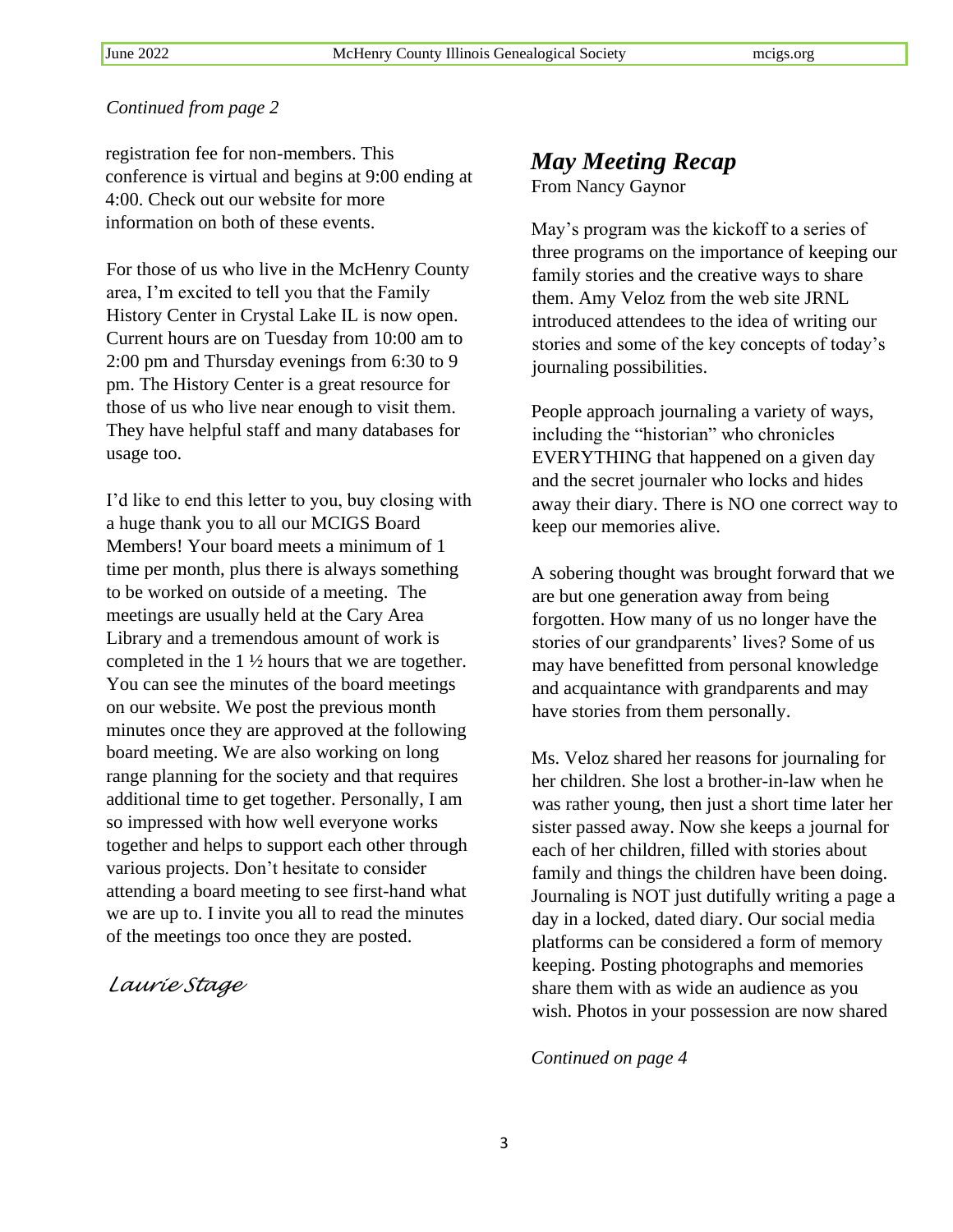registration fee for non-members. This conference is virtual and begins at 9:00 ending at 4:00. Check out our website for more information on both of these events.

For those of us who live in the McHenry County area, I'm excited to tell you that the Family History Center in Crystal Lake IL is now open. Current hours are on Tuesday from 10:00 am to 2:00 pm and Thursday evenings from 6:30 to 9 pm. The History Center is a great resource for those of us who live near enough to visit them. They have helpful staff and many databases for usage too.

I'd like to end this letter to you, buy closing with a huge thank you to all our MCIGS Board Members! Your board meets a minimum of 1 time per month, plus there is always something to be worked on outside of a meeting. The meetings are usually held at the Cary Area Library and a tremendous amount of work is completed in the 1 ½ hours that we are together. You can see the minutes of the board meetings on our website. We post the previous month minutes once they are approved at the following board meeting. We are also working on long range planning for the society and that requires additional time to get together. Personally, I am so impressed with how well everyone works together and helps to support each other through various projects. Don't hesitate to consider attending a board meeting to see first-hand what we are up to. I invite you all to read the minutes of the meetings too once they are posted.

### *Laurie Stage*

# *May Meeting Recap*

From Nancy Gaynor

May's program was the kickoff to a series of three programs on the importance of keeping our family stories and the creative ways to share them. Amy Veloz from the web site JRNL introduced attendees to the idea of writing our stories and some of the key concepts of today's journaling possibilities.

People approach journaling a variety of ways, including the "historian" who chronicles EVERYTHING that happened on a given day and the secret journaler who locks and hides away their diary. There is NO one correct way to keep our memories alive.

A sobering thought was brought forward that we are but one generation away from being forgotten. How many of us no longer have the stories of our grandparents' lives? Some of us may have benefitted from personal knowledge and acquaintance with grandparents and may have stories from them personally.

Ms. Veloz shared her reasons for journaling for her children. She lost a brother-in-law when he was rather young, then just a short time later her sister passed away. Now she keeps a journal for each of her children, filled with stories about family and things the children have been doing. Journaling is NOT just dutifully writing a page a day in a locked, dated diary. Our social media platforms can be considered a form of memory keeping. Posting photographs and memories share them with as wide an audience as you wish. Photos in your possession are now shared

*Continued on page 4*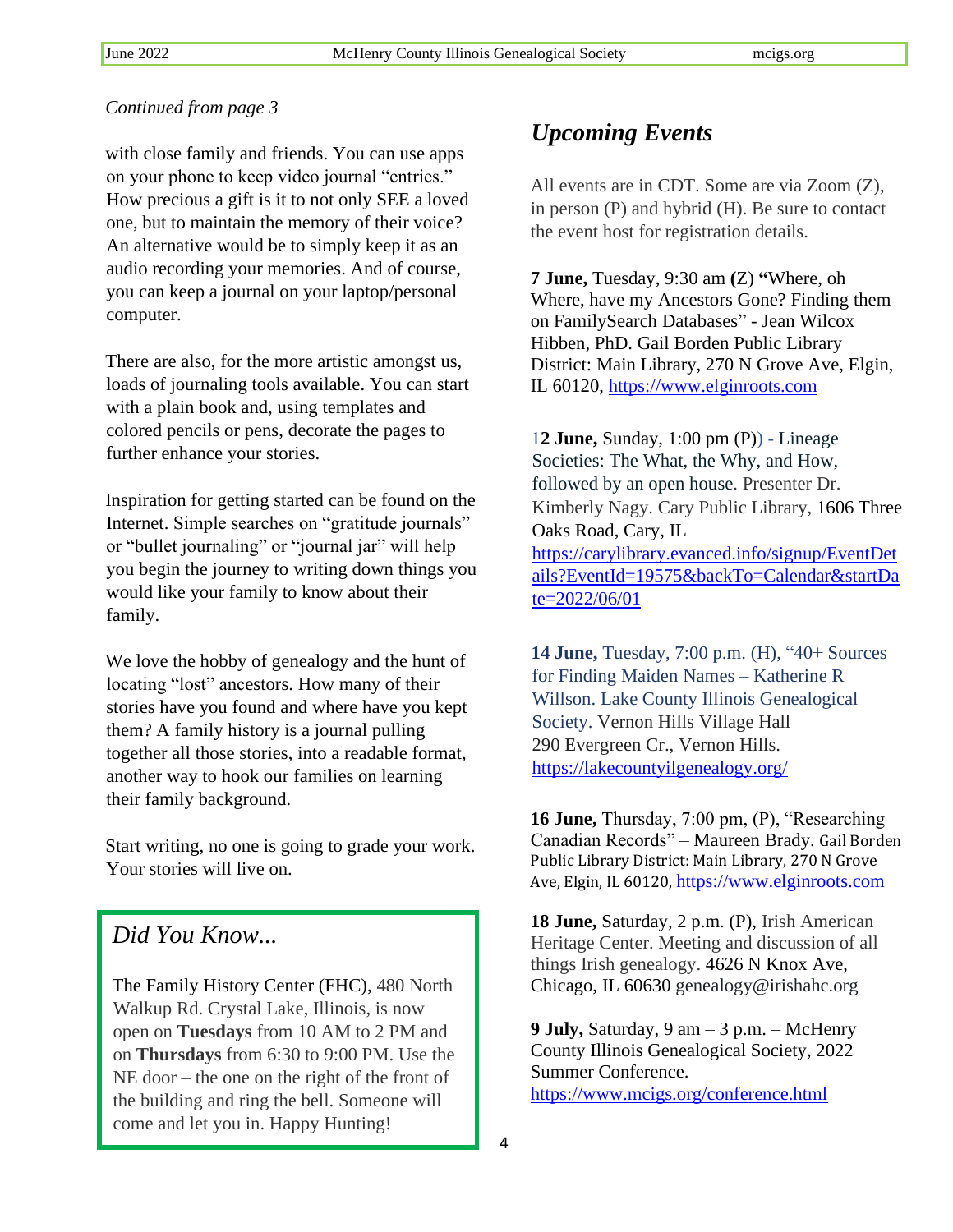with close family and friends. You can use apps on your phone to keep video journal "entries." How precious a gift is it to not only SEE a loved one, but to maintain the memory of their voice? An alternative would be to simply keep it as an audio recording your memories. And of course, you can keep a journal on your laptop/personal computer.

There are also, for the more artistic amongst us, loads of journaling tools available. You can start with a plain book and, using templates and colored pencils or pens, decorate the pages to further enhance your stories.

Inspiration for getting started can be found on the Internet. Simple searches on "gratitude journals" or "bullet journaling" or "journal jar" will help you begin the journey to writing down things you would like your family to know about their family.

We love the hobby of genealogy and the hunt of locating "lost" ancestors. How many of their stories have you found and where have you kept them? A family history is a journal pulling together all those stories, into a readable format, another way to hook our families on learning their family background.

Start writing, no one is going to grade your work. Your stories will live on.

# *Did You Know...*

The Family History Center (FHC), 480 North Walkup Rd. Crystal Lake, Illinois, is now open on **Tuesdays** from 10 AM to 2 PM and on **Thursdays** from 6:30 to 9:00 PM. Use the NE door – the one on the right of the front of the building and ring the bell. Someone will come and let you in. Happy Hunting!

# *Upcoming Events*

All events are in CDT. Some are via Zoom (Z), in person (P) and hybrid (H). Be sure to contact the event host for registration details.

**7 June,** Tuesday, 9:30 am **(**Z) **"**Where, oh Where, have my Ancestors Gone? Finding them on FamilySearch Databases" - Jean Wilcox Hibben, PhD. Gail Borden Public Library District: Main Library, 270 N Grove Ave, Elgin, IL 60120, [https://www.elginroots.com](https://www.elginroots.com/)

1**2 June,** Sunday, 1:00 pm (P)) - [Lineage](https://carylibrary.evanced.info/Signup)  [Societies: The What, the Why, and How,](https://carylibrary.evanced.info/Signup)  [followed by an open house.](https://carylibrary.evanced.info/Signup) Presenter Dr. Kimberly Nagy. Cary Public Library, 1606 Three Oaks Road, Cary, IL [https://carylibrary.evanced.info/signup/EventDet](https://carylibrary.evanced.info/signup/EventDetails?EventId=19575&backTo=Calendar&startDate=2022/06/01) [ails?EventId=19575&backTo=Calendar&startDa](https://carylibrary.evanced.info/signup/EventDetails?EventId=19575&backTo=Calendar&startDate=2022/06/01) [te=2022/06/01](https://carylibrary.evanced.info/signup/EventDetails?EventId=19575&backTo=Calendar&startDate=2022/06/01)

**14 June,** Tuesday, 7:00 p.m. (H), "40+ Sources for Finding Maiden Names – Katherine R Willson. Lake County Illinois Genealogical Society. Vernon Hills Village Hall 290 Evergreen Cr., Vernon Hills. <https://lakecountyilgenealogy.org/>

**16 June,** Thursday, 7:00 pm, (P), "Researching Canadian Records" – Maureen Brady. Gail Borden Public Library District: Main Library, 270 N Grove Ave, Elgin, IL 60120, [https://www.elginroots.com](https://www.elginroots.com/)

**18 June,** Saturday, 2 p.m. (P), Irish American Heritage Center. Meeting and discussion of all things Irish genealogy. 4626 N Knox Ave, Chicago, IL 60630 genealogy@irishahc.org

**9 July,** Saturday, 9 am – 3 p.m. – McHenry County Illinois Genealogical Society, 2022 Summer Conference. <https://www.mcigs.org/conference.html>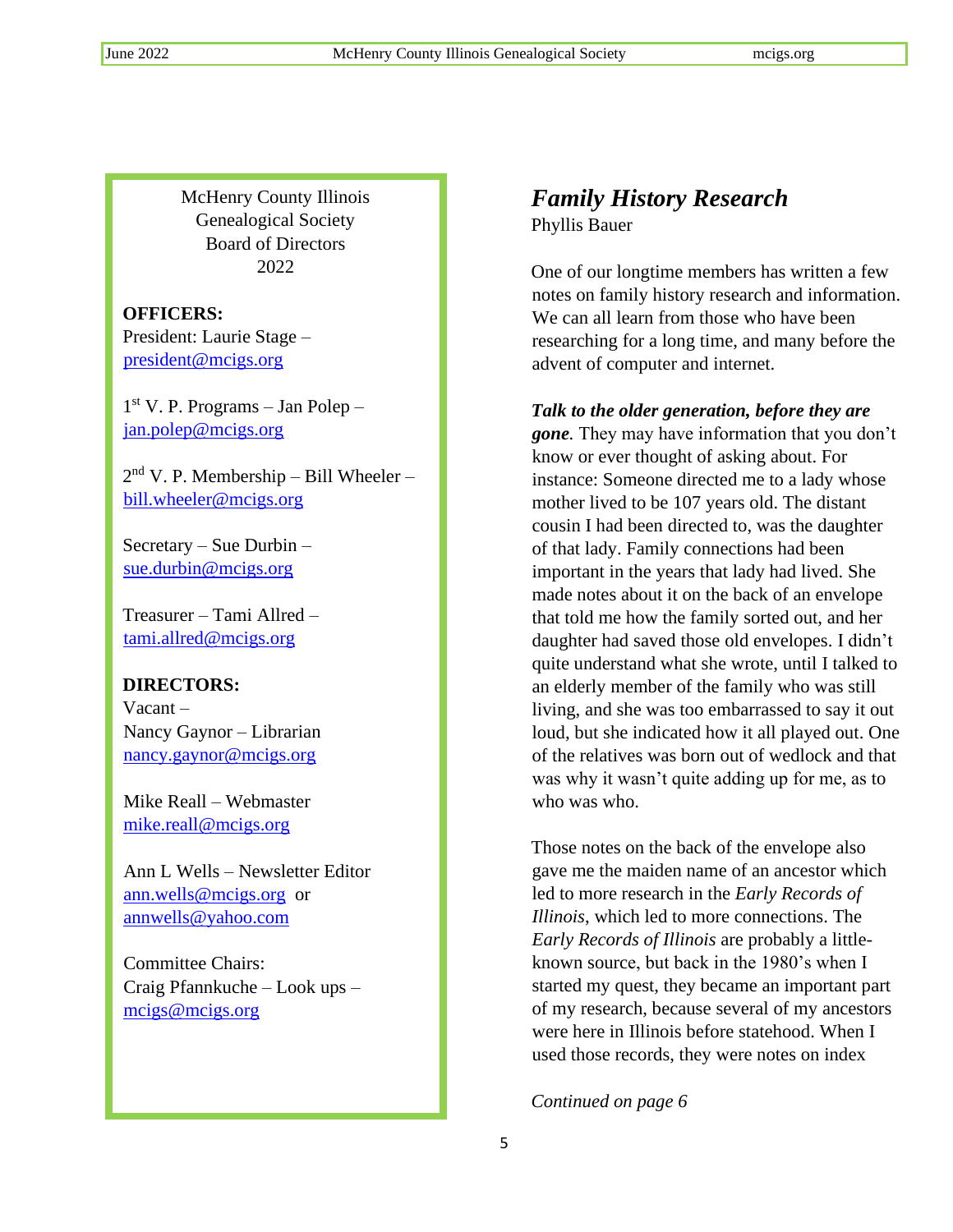McHenry County Illinois Genealogical Society Board of Directors 2022

## **OFFICERS:**

President: Laurie Stage – [president@mcigs.org](mailto:president@mcigs.org)

1 st V. P. Programs – Jan Polep – [jan.polep@mcigs.org](mailto:jan.polep@mcigs.org)

2<sup>nd</sup> V. P. Membership – Bill Wheeler – [bill.wheeler@mcigs.org](mailto:bill.wheeler@mcigs.org)

Secretary – Sue Durbin – [sue.durbin@mcigs.org](mailto:sue.durbin@mcigs.org)

Treasurer – Tami Allred – [tami.allred@mcigs.org](mailto:tami.allred@mcigs.org)

# **DIRECTORS:**

Vacant – Nancy Gaynor – Librarian [nancy.gaynor@mcigs.org](mailto:nancy.gaynor@mcigs.org)

Mike Reall – Webmaster [mike.reall@mcigs.org](mailto:mike.reall@mcigs.org)

Ann L Wells – Newsletter Editor [ann.wells@mcigs.org](mailto:ann.wells@mcigs.org) or [annwells@yahoo.com](mailto:annwells@yahoo.com)

Committee Chairs: Craig Pfannkuche – Look ups – <mcigs@mcigs.org>

# *Family History Research*

Phyllis Bauer

One of our longtime members has written a few notes on family history research and information. We can all learn from those who have been researching for a long time, and many before the advent of computer and internet.

## *Talk to the older generation, before they are*

*gone.* They may have information that you don't know or ever thought of asking about. For instance: Someone directed me to a lady whose mother lived to be 107 years old. The distant cousin I had been directed to, was the daughter of that lady. Family connections had been important in the years that lady had lived. She made notes about it on the back of an envelope that told me how the family sorted out, and her daughter had saved those old envelopes. I didn't quite understand what she wrote, until I talked to an elderly member of the family who was still living, and she was too embarrassed to say it out loud, but she indicated how it all played out. One of the relatives was born out of wedlock and that was why it wasn't quite adding up for me, as to who was who.

Those notes on the back of the envelope also gave me the maiden name of an ancestor which led to more research in the *Early Records of Illinois*, which led to more connections. The *Early Records of Illinois* are probably a littleknown source, but back in the 1980's when I started my quest, they became an important part of my research, because several of my ancestors were here in Illinois before statehood. When I used those records, they were notes on index

*Continued on page 6*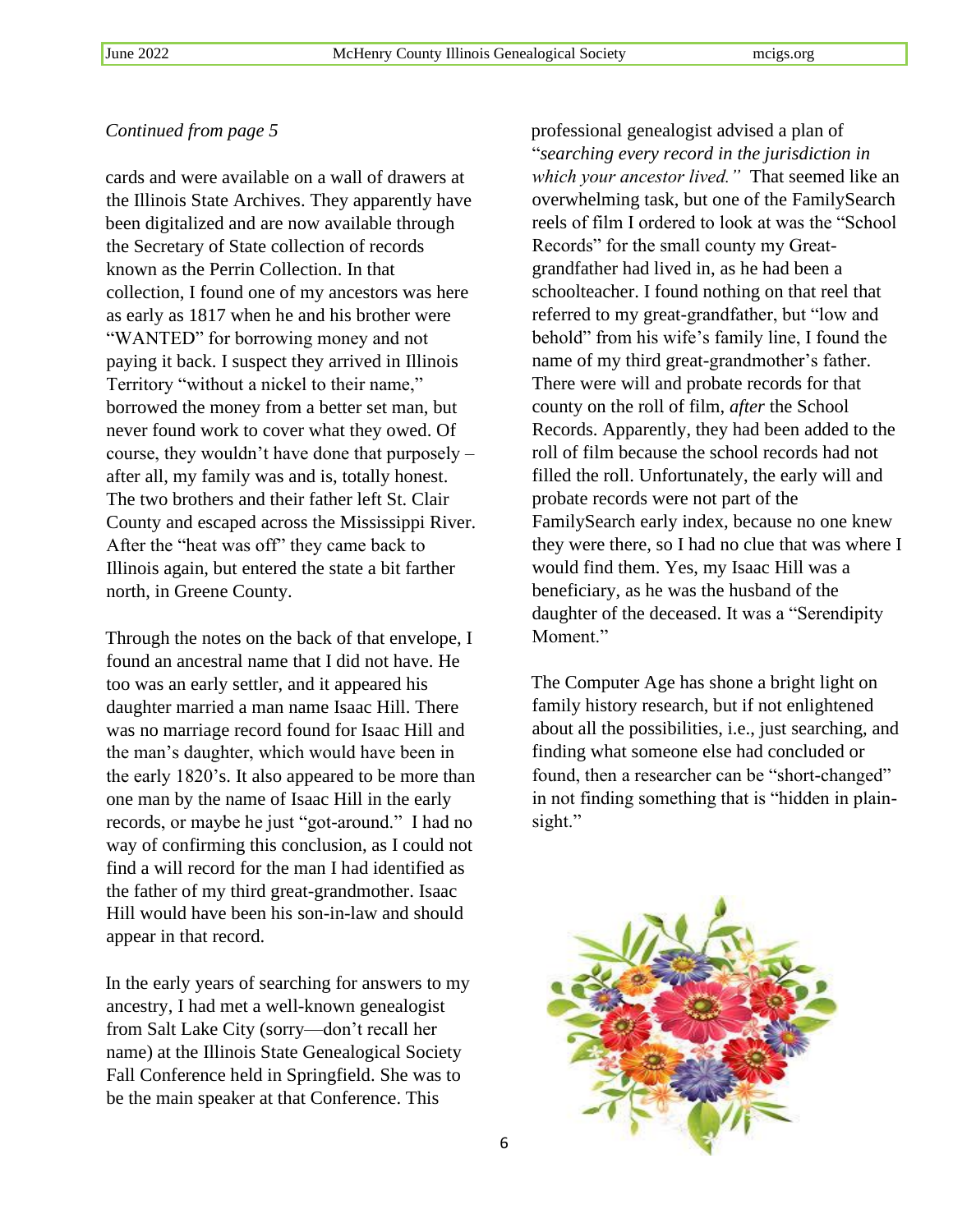cards and were available on a wall of drawers at the Illinois State Archives. They apparently have been digitalized and are now available through the Secretary of State collection of records known as the Perrin Collection. In that collection, I found one of my ancestors was here as early as 1817 when he and his brother were "WANTED" for borrowing money and not paying it back. I suspect they arrived in Illinois Territory "without a nickel to their name," borrowed the money from a better set man, but never found work to cover what they owed. Of course, they wouldn't have done that purposely – after all, my family was and is, totally honest. The two brothers and their father left St. Clair County and escaped across the Mississippi River. After the "heat was off" they came back to Illinois again, but entered the state a bit farther north, in Greene County.

Through the notes on the back of that envelope, I found an ancestral name that I did not have. He too was an early settler, and it appeared his daughter married a man name Isaac Hill. There was no marriage record found for Isaac Hill and the man's daughter, which would have been in the early 1820's. It also appeared to be more than one man by the name of Isaac Hill in the early records, or maybe he just "got-around." I had no way of confirming this conclusion, as I could not find a will record for the man I had identified as the father of my third great-grandmother. Isaac Hill would have been his son-in-law and should appear in that record.

In the early years of searching for answers to my ancestry, I had met a well-known genealogist from Salt Lake City (sorry—don't recall her name) at the Illinois State Genealogical Society Fall Conference held in Springfield. She was to be the main speaker at that Conference. This

professional genealogist advised a plan of "*searching every record in the jurisdiction in which your ancestor lived."* That seemed like an overwhelming task, but one of the FamilySearch reels of film I ordered to look at was the "School Records" for the small county my Greatgrandfather had lived in, as he had been a schoolteacher. I found nothing on that reel that referred to my great-grandfather, but "low and behold" from his wife's family line, I found the name of my third great-grandmother's father. There were will and probate records for that county on the roll of film, *after* the School Records. Apparently, they had been added to the roll of film because the school records had not filled the roll. Unfortunately, the early will and probate records were not part of the FamilySearch early index, because no one knew they were there, so I had no clue that was where I would find them. Yes, my Isaac Hill was a beneficiary, as he was the husband of the daughter of the deceased. It was a "Serendipity Moment."

The Computer Age has shone a bright light on family history research, but if not enlightened about all the possibilities, i.e., just searching, and finding what someone else had concluded or found, then a researcher can be "short-changed" in not finding something that is "hidden in plainsight."

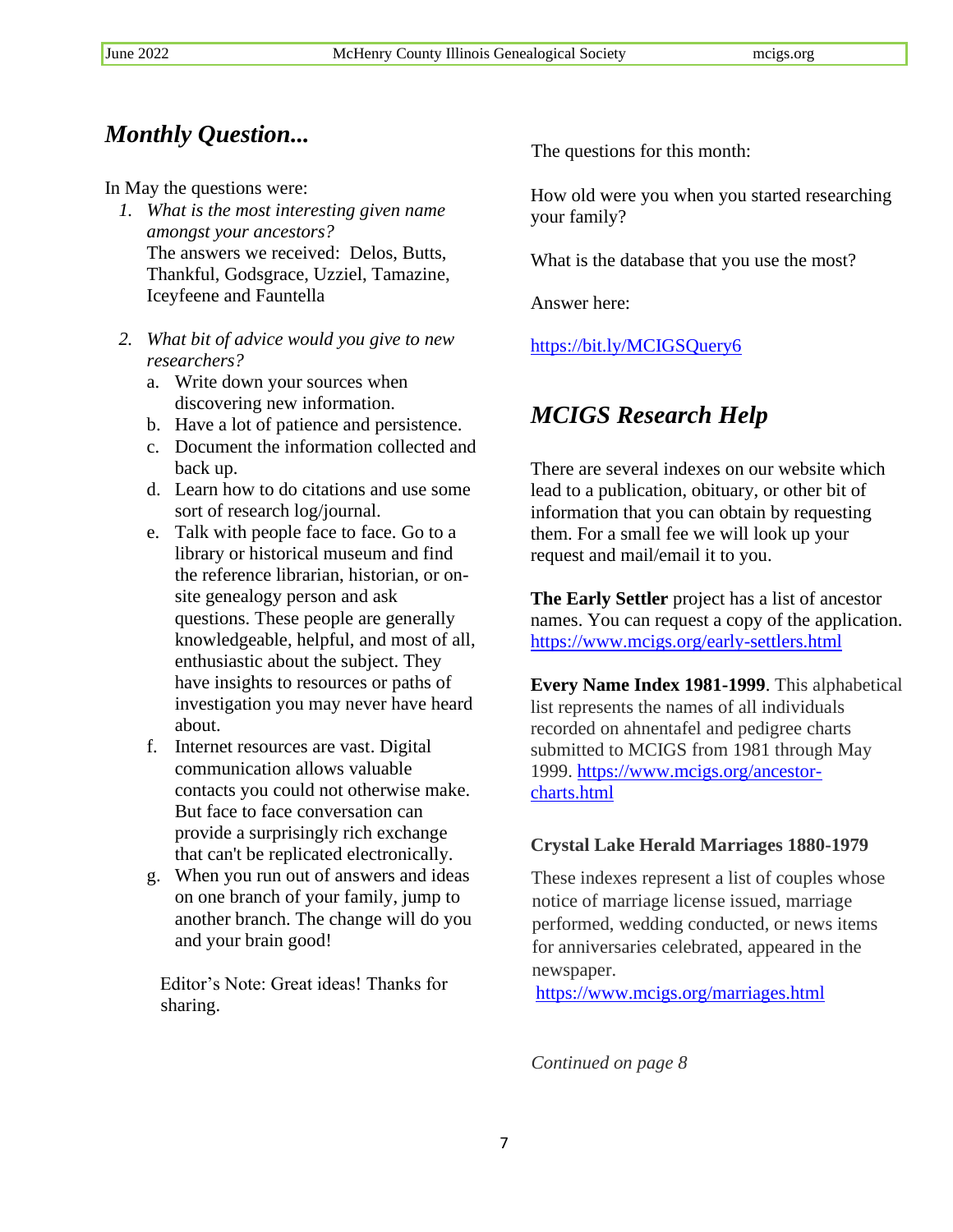# *Monthly Question...*

In May the questions were:

- *1. What is the most interesting given name amongst your ancestors?* The answers we received: Delos, Butts, Thankful, Godsgrace, Uzziel, Tamazine, Iceyfeene and Fauntella
- *2. What bit of advice would you give to new researchers?*
	- a. Write down your sources when discovering new information.
	- b. Have a lot of patience and persistence.
	- c. Document the information collected and back up.
	- d. Learn how to do citations and use some sort of research log/journal.
	- e. Talk with people face to face. Go to a library or historical museum and find the reference librarian, historian, or onsite genealogy person and ask questions. These people are generally knowledgeable, helpful, and most of all, enthusiastic about the subject. They have insights to resources or paths of investigation you may never have heard about.
	- f. Internet resources are vast. Digital communication allows valuable contacts you could not otherwise make. But face to face conversation can provide a surprisingly rich exchange that can't be replicated electronically.
	- g. When you run out of answers and ideas on one branch of your family, jump to another branch. The change will do you and your brain good!

Editor's Note: Great ideas! Thanks for sharing.

The questions for this month:

How old were you when you started researching your family?

What is the database that you use the most?

Answer here:

<https://bit.ly/MCIGSQuery6>

# *MCIGS Research Help*

There are several indexes on our website which lead to a publication, obituary, or other bit of information that you can obtain by requesting them. For a small fee we will look up your request and mail/email it to you.

**The Early Settler** project has a list of ancestor names. You can request a copy of the application. <https://www.mcigs.org/early-settlers.html>

**Every Name Index 1981-1999**. This alphabetical list represents the names of all individuals recorded on ahnentafel and pedigree charts submitted to MCIGS from 1981 through May 1999. [https://www.mcigs.org/ancestor](https://www.mcigs.org/ancestor-charts.html)[charts.html](https://www.mcigs.org/ancestor-charts.html)

## **Crystal Lake Herald Marriages 1880-1979**

These indexes represent a list of couples whose notice of marriage license issued, marriage performed, wedding conducted, or news items for anniversaries celebrated, appeared in the newspaper.

<https://www.mcigs.org/marriages.html>

*Continued on page 8*